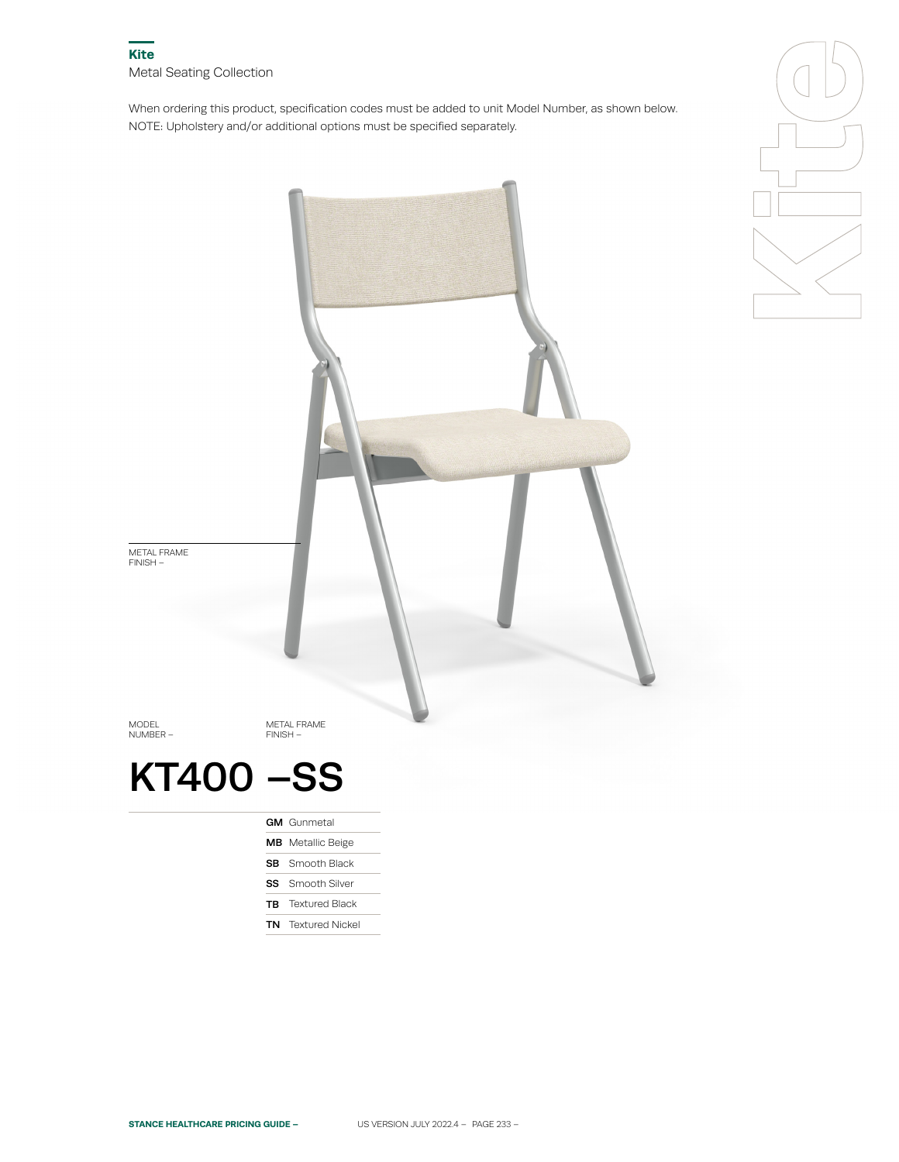When ordering this product, specification codes must be added to unit Model Number, as shown below. NOTE: Upholstery and/or additional options must be specified separately.





**TB** Textured Black

TN Textured Nickel